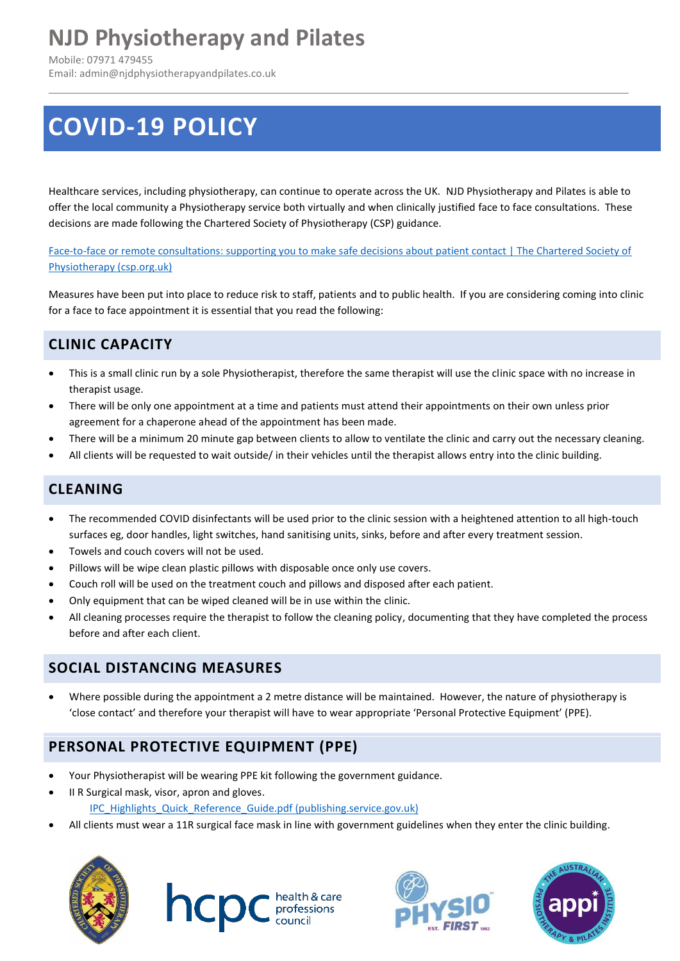## **NJD Physiotherapy and Pilates**

Mobile: 07971 479455 Email: admin@njdphysiotherapyandpilates.co.uk

# **COVID-19 POLICY**

Healthcare services, including physiotherapy, can continue to operate across the UK. NJD Physiotherapy and Pilates is able to offer the local community a Physiotherapy service both virtually and when clinically justified face to face consultations. These decisions are made following the Chartered Society of Physiotherapy (CSP) guidance.

[Face-to-face or remote consultations: supporting you to make safe decisions about patient contact | The Chartered Society of](https://www.csp.org.uk/news/coronavirus/clinical-guidance/reopening-your-services/guidance-advice-implementation)  [Physiotherapy \(csp.org.uk\)](https://www.csp.org.uk/news/coronavirus/clinical-guidance/reopening-your-services/guidance-advice-implementation)

Measures have been put into place to reduce risk to staff, patients and to public health. If you are considering coming into clinic for a face to face appointment it is essential that you read the following:

## **CLINIC CAPACITY**

- This is a small clinic run by a sole Physiotherapist, therefore the same therapist will use the clinic space with no increase in therapist usage.
- There will be only one appointment at a time and patients must attend their appointments on their own unless prior agreement for a chaperone ahead of the appointment has been made.
- There will be a minimum 20 minute gap between clients to allow to ventilate the clinic and carry out the necessary cleaning.
- All clients will be requested to wait outside/ in their vehicles until the therapist allows entry into the clinic building.

## **CLEANING**

- The recommended COVID disinfectants will be used prior to the clinic session with a heightened attention to all high-touch surfaces eg, door handles, light switches, hand sanitising units, sinks, before and after every treatment session.
- Towels and couch covers will not be used.
- Pillows will be wipe clean plastic pillows with disposable once only use covers.
- Couch roll will be used on the treatment couch and pillows and disposed after each patient.
- Only equipment that can be wiped cleaned will be in use within the clinic.
- All cleaning processes require the therapist to follow the cleaning policy, documenting that they have completed the process before and after each client.

## **SOCIAL DISTANCING MEASURES**

• Where possible during the appointment a 2 metre distance will be maintained. However, the nature of physiotherapy is 'close contact' and therefore your therapist will have to wear appropriate 'Personal Protective Equipment' (PPE).

## **PERSONAL PROTECTIVE EQUIPMENT (PPE)**

- Your Physiotherapist will be wearing PPE kit following the government guidance.
- II R Surgical mask, visor, apron and gloves. [IPC\\_Highlights\\_Quick\\_Reference\\_Guide.pdf \(publishing.service.gov.uk\)](https://assets.publishing.service.gov.uk/government/uploads/system/uploads/attachment_data/file/918091/IPC_Highlights_Quick_Reference_Guide.pdf)
- All clients must wear a 11R surgical face mask in line with government guidelines when they enter the clinic building.



**INCIDE** council